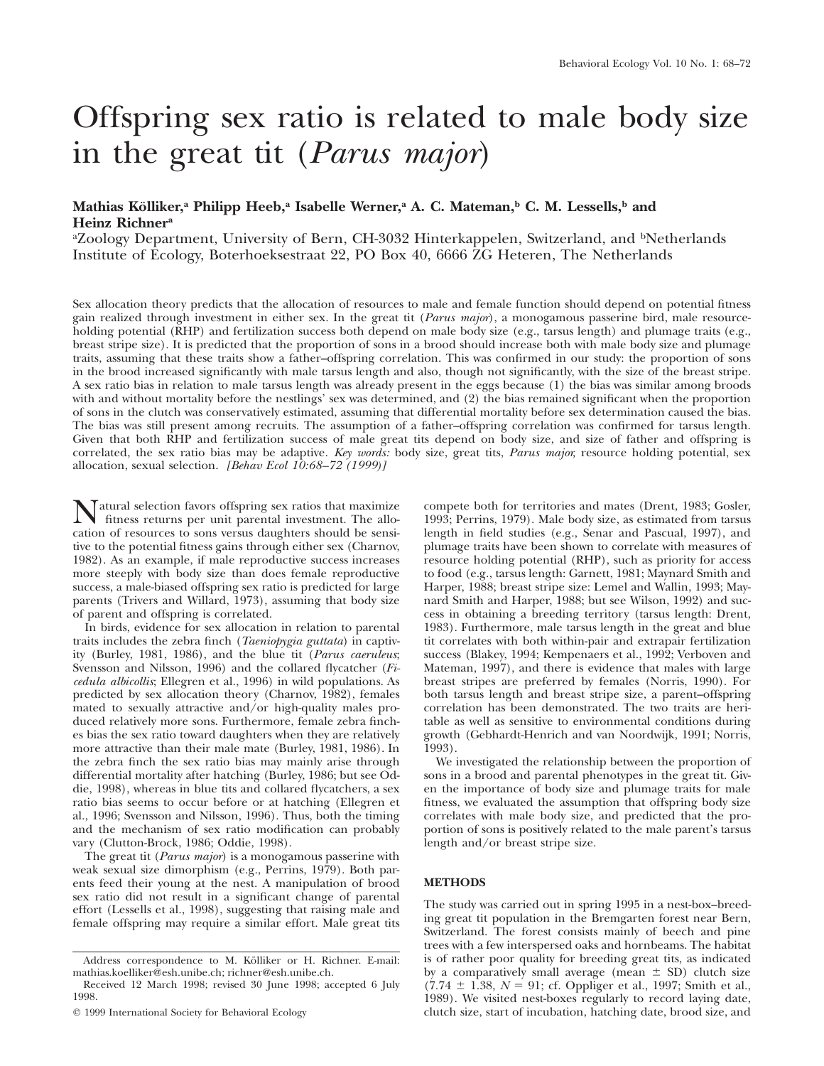# Offspring sex ratio is related to male body size in the great tit (*Parus major*)

# Mathias Kölliker,<sup>a</sup> Philipp Heeb,<sup>a</sup> Isabelle Werner,<sup>a</sup> A. C. Mateman,<sup>b</sup> C. M. Lessells,<sup>b</sup> and **Heinz Richnera**

<sup>a</sup>Zoology Department, University of Bern, CH-3032 Hinterkappelen, Switzerland, and <sup>b</sup>Netherlands Institute of Ecology, Boterhoeksestraat 22, PO Box 40, 6666 ZG Heteren, The Netherlands

Sex allocation theory predicts that the allocation of resources to male and female function should depend on potential fitness gain realized through investment in either sex. In the great tit (*Parus major*), a monogamous passerine bird, male resourceholding potential (RHP) and fertilization success both depend on male body size (e.g., tarsus length) and plumage traits (e.g., breast stripe size). It is predicted that the proportion of sons in a brood should increase both with male body size and plumage traits, assuming that these traits show a father–offspring correlation. This was confirmed in our study: the proportion of sons in the brood increased significantly with male tarsus length and also, though not significantly, with the size of the breast stripe. A sex ratio bias in relation to male tarsus length was already present in the eggs because (1) the bias was similar among broods with and without mortality before the nestlings' sex was determined, and (2) the bias remained significant when the proportion of sons in the clutch was conservatively estimated, assuming that differential mortality before sex determination caused the bias. The bias was still present among recruits. The assumption of a father–offspring correlation was confirmed for tarsus length. Given that both RHP and fertilization success of male great tits depend on body size, and size of father and offspring is correlated, the sex ratio bias may be adaptive. *Key words:* body size, great tits, *Parus major,* resource holding potential, sex allocation, sexual selection. *[Behav Ecol 10:68–72 (1999)]*

**N**atural selection favors offspring sex ratios that maximize<br>fitness returns per unit parental investment. The allo-<br>cation of resources to sone versus daughters should be sensication of resources to sons versus daughters should be sensitive to the potential fitness gains through either sex (Charnov, 1982). As an example, if male reproductive success increases more steeply with body size than does female reproductive success, a male-biased offspring sex ratio is predicted for large parents (Trivers and Willard, 1973), assuming that body size of parent and offspring is correlated.

In birds, evidence for sex allocation in relation to parental traits includes the zebra finch (*Taeniopygia guttata*) in captivity (Burley, 1981, 1986), and the blue tit (*Parus caeruleus*; Svensson and Nilsson, 1996) and the collared flycatcher (*Ficedula albicollis*; Ellegren et al., 1996) in wild populations. As predicted by sex allocation theory (Charnov, 1982), females mated to sexually attractive and/or high-quality males produced relatively more sons. Furthermore, female zebra finches bias the sex ratio toward daughters when they are relatively more attractive than their male mate (Burley, 1981, 1986). In the zebra finch the sex ratio bias may mainly arise through differential mortality after hatching (Burley, 1986; but see Oddie, 1998), whereas in blue tits and collared flycatchers, a sex ratio bias seems to occur before or at hatching (Ellegren et al., 1996; Svensson and Nilsson, 1996). Thus, both the timing and the mechanism of sex ratio modification can probably vary (Clutton-Brock, 1986; Oddie, 1998).

The great tit (*Parus major*) is a monogamous passerine with weak sexual size dimorphism (e.g., Perrins, 1979). Both parents feed their young at the nest. A manipulation of brood sex ratio did not result in a significant change of parental effort (Lessells et al., 1998), suggesting that raising male and female offspring may require a similar effort. Male great tits compete both for territories and mates (Drent, 1983; Gosler, 1993; Perrins, 1979). Male body size, as estimated from tarsus length in field studies (e.g., Senar and Pascual, 1997), and plumage traits have been shown to correlate with measures of resource holding potential (RHP), such as priority for access to food (e.g., tarsus length: Garnett, 1981; Maynard Smith and Harper, 1988; breast stripe size: Lemel and Wallin, 1993; Maynard Smith and Harper, 1988; but see Wilson, 1992) and success in obtaining a breeding territory (tarsus length: Drent, 1983). Furthermore, male tarsus length in the great and blue tit correlates with both within-pair and extrapair fertilization success (Blakey, 1994; Kempenaers et al., 1992; Verboven and Mateman, 1997), and there is evidence that males with large breast stripes are preferred by females (Norris, 1990). For both tarsus length and breast stripe size, a parent–offspring correlation has been demonstrated. The two traits are heritable as well as sensitive to environmental conditions during growth (Gebhardt-Henrich and van Noordwijk, 1991; Norris, 1993).

We investigated the relationship between the proportion of sons in a brood and parental phenotypes in the great tit. Given the importance of body size and plumage traits for male fitness, we evaluated the assumption that offspring body size correlates with male body size, and predicted that the proportion of sons is positively related to the male parent's tarsus length and/or breast stripe size.

# **METHODS**

The study was carried out in spring 1995 in a nest-box–breeding great tit population in the Bremgarten forest near Bern, Switzerland. The forest consists mainly of beech and pine trees with a few interspersed oaks and hornbeams. The habitat is of rather poor quality for breeding great tits, as indicated by a comparatively small average (mean  $\pm$  SD) clutch size  $(7.74 \pm 1.38, N = 91; \text{ cf. Oppliger et al., } 1997; \text{ Smith et al., }$ 1989). We visited nest-boxes regularly to record laying date, clutch size, start of incubation, hatching date, brood size, and

Address correspondence to M. Kölliker or H. Richner. E-mail: mathias.koelliker@esh.unibe.ch; richner@esh.unibe.ch.

Received 12 March 1998; revised 30 June 1998; accepted 6 July 1998.

 $Q$  1999 International Society for Behavioral Ecology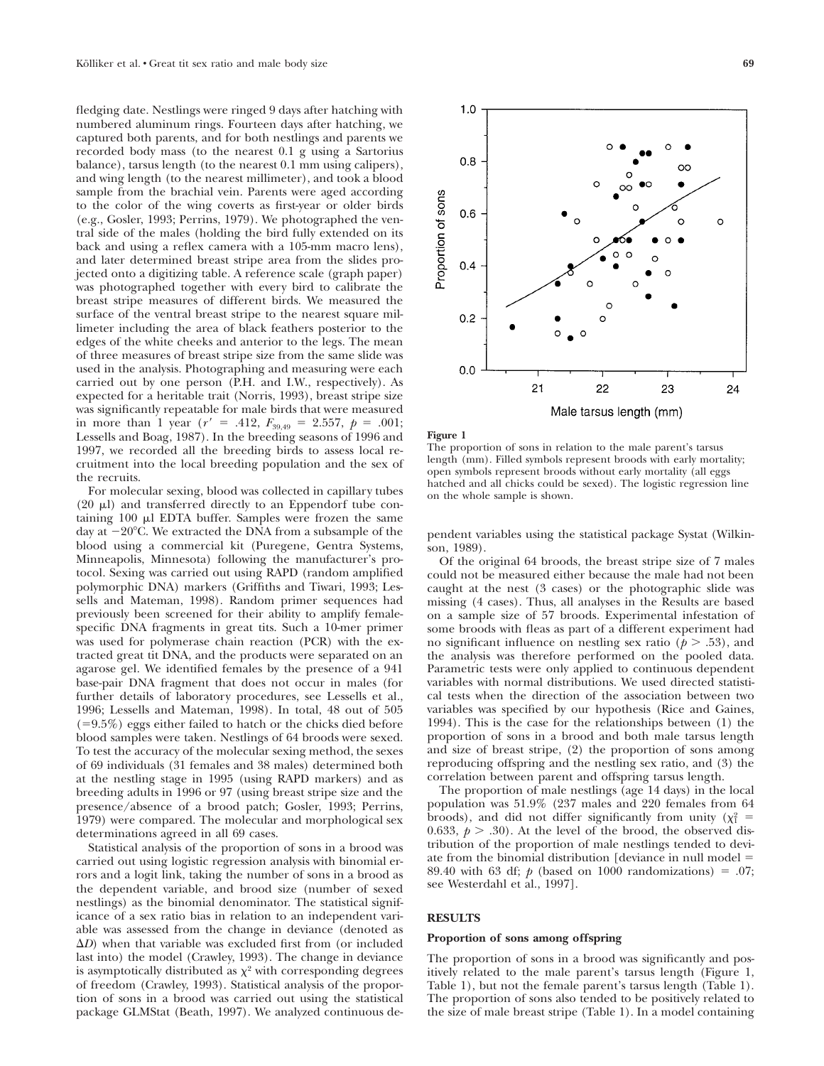fledging date. Nestlings were ringed 9 days after hatching with numbered aluminum rings. Fourteen days after hatching, we captured both parents, and for both nestlings and parents we recorded body mass (to the nearest 0.1 g using a Sartorius balance), tarsus length (to the nearest 0.1 mm using calipers), and wing length (to the nearest millimeter), and took a blood sample from the brachial vein. Parents were aged according to the color of the wing coverts as first-year or older birds (e.g., Gosler, 1993; Perrins, 1979). We photographed the ventral side of the males (holding the bird fully extended on its back and using a reflex camera with a 105-mm macro lens), and later determined breast stripe area from the slides projected onto a digitizing table. A reference scale (graph paper) was photographed together with every bird to calibrate the breast stripe measures of different birds. We measured the surface of the ventral breast stripe to the nearest square millimeter including the area of black feathers posterior to the edges of the white cheeks and anterior to the legs. The mean of three measures of breast stripe size from the same slide was used in the analysis. Photographing and measuring were each carried out by one person (P.H. and I.W., respectively). As expected for a heritable trait (Norris, 1993), breast stripe size was significantly repeatable for male birds that were measured in more than 1 year ( $r' = .412$ ,  $F_{39,49} = 2.557$ ,  $p = .001$ ; Lessells and Boag, 1987). In the breeding seasons of 1996 and 1997, we recorded all the breeding birds to assess local recruitment into the local breeding population and the sex of the recruits.

For molecular sexing, blood was collected in capillary tubes  $(20 \mu l)$  and transferred directly to an Eppendorf tube containing  $100 \mu l$  EDTA buffer. Samples were frozen the same day at  $-20^{\circ}$ C. We extracted the DNA from a subsample of the blood using a commercial kit (Puregene, Gentra Systems, Minneapolis, Minnesota) following the manufacturer's protocol. Sexing was carried out using RAPD (random amplified polymorphic DNA) markers (Griffiths and Tiwari, 1993; Lessells and Mateman, 1998). Random primer sequences had previously been screened for their ability to amplify femalespecific DNA fragments in great tits. Such a 10-mer primer was used for polymerase chain reaction (PCR) with the extracted great tit DNA, and the products were separated on an agarose gel. We identified females by the presence of a 941 base-pair DNA fragment that does not occur in males (for further details of laboratory procedures, see Lessells et al., 1996; Lessells and Mateman, 1998). In total, 48 out of 505  $(=9.5\%)$  eggs either failed to hatch or the chicks died before blood samples were taken. Nestlings of 64 broods were sexed. To test the accuracy of the molecular sexing method, the sexes of 69 individuals (31 females and 38 males) determined both at the nestling stage in 1995 (using RAPD markers) and as breeding adults in 1996 or 97 (using breast stripe size and the presence/absence of a brood patch; Gosler, 1993; Perrins, 1979) were compared. The molecular and morphological sex determinations agreed in all 69 cases.

Statistical analysis of the proportion of sons in a brood was carried out using logistic regression analysis with binomial errors and a logit link, taking the number of sons in a brood as the dependent variable, and brood size (number of sexed nestlings) as the binomial denominator. The statistical significance of a sex ratio bias in relation to an independent variable was assessed from the change in deviance (denoted as  $\Delta D$ ) when that variable was excluded first from (or included last into) the model (Crawley, 1993). The change in deviance is asymptotically distributed as  $\chi^2$  with corresponding degrees of freedom (Crawley, 1993). Statistical analysis of the proportion of sons in a brood was carried out using the statistical package GLMStat (Beath, 1997). We analyzed continuous de-



#### **Figure 1**

The proportion of sons in relation to the male parent's tarsus length (mm). Filled symbols represent broods with early mortality; open symbols represent broods without early mortality (all eggs hatched and all chicks could be sexed). The logistic regression line on the whole sample is shown.

pendent variables using the statistical package Systat (Wilkinson, 1989).

Of the original 64 broods, the breast stripe size of 7 males could not be measured either because the male had not been caught at the nest (3 cases) or the photographic slide was missing (4 cases). Thus, all analyses in the Results are based on a sample size of 57 broods. Experimental infestation of some broods with fleas as part of a different experiment had no significant influence on nestling sex ratio  $(p > .53)$ , and the analysis was therefore performed on the pooled data. Parametric tests were only applied to continuous dependent variables with normal distributions. We used directed statistical tests when the direction of the association between two variables was specified by our hypothesis (Rice and Gaines, 1994). This is the case for the relationships between (1) the proportion of sons in a brood and both male tarsus length and size of breast stripe, (2) the proportion of sons among reproducing offspring and the nestling sex ratio, and (3) the correlation between parent and offspring tarsus length.

The proportion of male nestlings (age 14 days) in the local population was 51.9% (237 males and 220 females from 64 broods), and did not differ significantly from unity ( $\chi_1^2$  = 0.633,  $p > .30$ ). At the level of the brood, the observed distribution of the proportion of male nestlings tended to deviate from the binomial distribution [deviance in null model  $=$ 89.40 with 63 df;  $p$  (based on 1000 randomizations) = .07; see Westerdahl et al., 1997].

# **RESULTS**

#### **Proportion of sons among offspring**

The proportion of sons in a brood was significantly and positively related to the male parent's tarsus length (Figure 1, Table 1), but not the female parent's tarsus length (Table 1). The proportion of sons also tended to be positively related to the size of male breast stripe (Table 1). In a model containing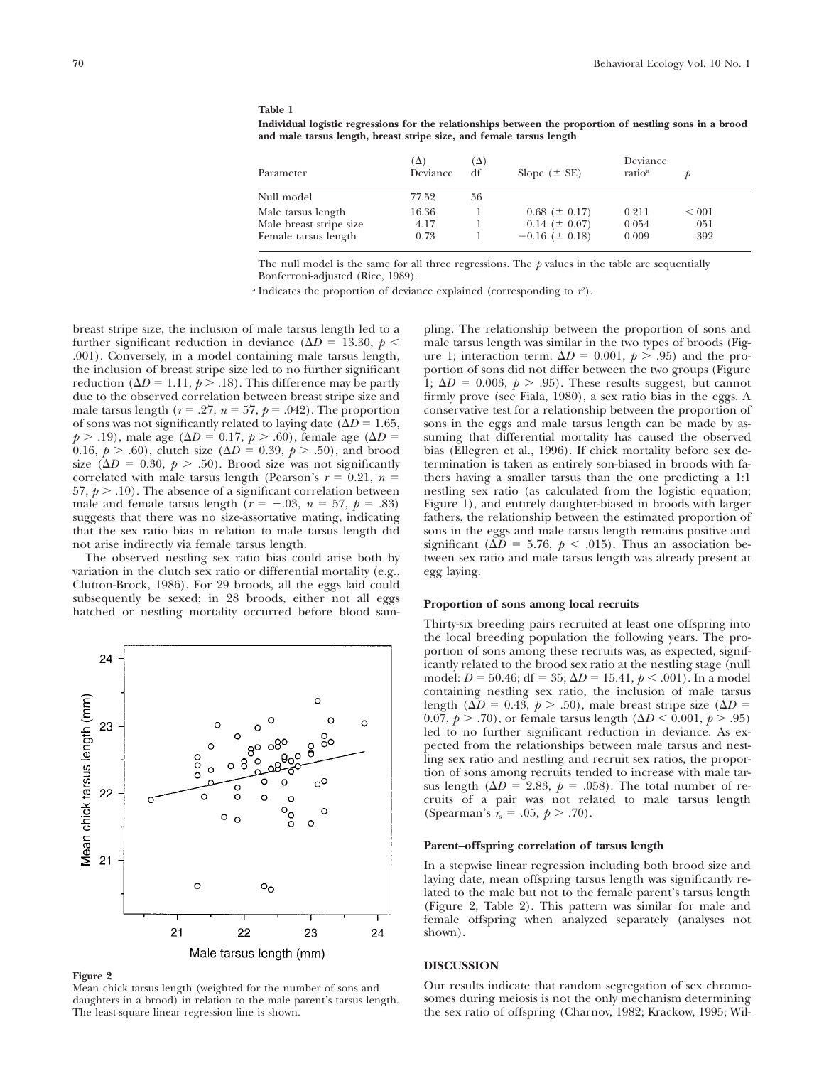## **Table 1**

**Individual logistic regressions for the relationships between the proportion of nestling sons in a brood and male tarsus length, breast stripe size, and female tarsus length**

| Parameter               | $(\Delta)$<br>Deviance | $(\Delta)$<br>df | Slope $(\pm$ SE)      | Deviance<br>ratio <sup>a</sup> |         |
|-------------------------|------------------------|------------------|-----------------------|--------------------------------|---------|
| Null model              | 77.52                  | 56               |                       |                                |         |
| Male tarsus length      | 16.36                  |                  | $0.68 \ (\pm 0.17)$   | 0.211                          | < 0.001 |
| Male breast stripe size | 4.17                   |                  | $0.14~(\pm 0.07)$     | 0.054                          | .051    |
| Female tarsus length    | 0.73                   |                  | $-0.16$ ( $\pm$ 0.18) | 0.009                          | .392    |

The null model is the same for all three regressions. The  $p$  values in the table are sequentially Bonferroni-adjusted (Rice, 1989).

<sup>a</sup> Indicates the proportion of deviance explained (corresponding to  $r^2$ ).

breast stripe size, the inclusion of male tarsus length led to a further significant reduction in deviance ( $\Delta D = 13.30, p <$ .001). Conversely, in a model containing male tarsus length, the inclusion of breast stripe size led to no further significant reduction ( $\Delta D = 1.11$ ,  $p > .18$ ). This difference may be partly due to the observed correlation between breast stripe size and male tarsus length ( $r = .27$ ,  $n = 57$ ,  $p = .042$ ). The proportion of sons was not significantly related to laying date ( $\Delta D = 1.65$ ,  $p > .19$ ), male age ( $\Delta D = 0.17, p > .60$ ), female age ( $\Delta D =$ 0.16,  $p > .60$ , clutch size ( $\Delta D = 0.39, p > .50$ ), and brood size ( $\Delta D = 0.30, p > .50$ ). Brood size was not significantly correlated with male tarsus length (Pearson's  $r = 0.21$ ,  $n =$ 57,  $p > .10$ ). The absence of a significant correlation between male and female tarsus length  $(r = -.03, n = 57, p = .83)$ suggests that there was no size-assortative mating, indicating that the sex ratio bias in relation to male tarsus length did not arise indirectly via female tarsus length.

The observed nestling sex ratio bias could arise both by variation in the clutch sex ratio or differential mortality (e.g., Clutton-Brock, 1986). For 29 broods, all the eggs laid could subsequently be sexed; in 28 broods, either not all eggs hatched or nestling mortality occurred before blood sam-



#### **Figure 2**

Mean chick tarsus length (weighted for the number of sons and daughters in a brood) in relation to the male parent's tarsus length. The least-square linear regression line is shown.

pling. The relationship between the proportion of sons and male tarsus length was similar in the two types of broods (Figure 1; interaction term:  $\Delta D = 0.001$ ,  $p > .95$ ) and the proportion of sons did not differ between the two groups (Figure 1;  $\Delta D = 0.003$ ,  $p > .95$ ). These results suggest, but cannot firmly prove (see Fiala, 1980), a sex ratio bias in the eggs. A conservative test for a relationship between the proportion of sons in the eggs and male tarsus length can be made by assuming that differential mortality has caused the observed bias (Ellegren et al., 1996). If chick mortality before sex determination is taken as entirely son-biased in broods with fathers having a smaller tarsus than the one predicting a 1:1 nestling sex ratio (as calculated from the logistic equation; Figure 1), and entirely daughter-biased in broods with larger fathers, the relationship between the estimated proportion of sons in the eggs and male tarsus length remains positive and significant ( $\Delta D = 5.76$ ,  $p < .015$ ). Thus an association between sex ratio and male tarsus length was already present at egg laying.

#### **Proportion of sons among local recruits**

Thirty-six breeding pairs recruited at least one offspring into the local breeding population the following years. The proportion of sons among these recruits was, as expected, significantly related to the brood sex ratio at the nestling stage (null model:  $D = 50.46$ ; df = 35;  $\Delta D = 15.41$ ,  $p < .001$ ). In a model containing nestling sex ratio, the inclusion of male tarsus length ( $\Delta D = 0.43$ ,  $p > .50$ ), male breast stripe size ( $\Delta D =$ 0.07,  $p > .70$ , or female tarsus length ( $\Delta D < 0.001$ ,  $p > .95$ ) led to no further significant reduction in deviance. As expected from the relationships between male tarsus and nestling sex ratio and nestling and recruit sex ratios, the proportion of sons among recruits tended to increase with male tarsus length ( $\Delta D = 2.83$ ,  $p = .058$ ). The total number of recruits of a pair was not related to male tarsus length (Spearman's  $r_s = .05, p > .70$ ).

## **Parent–offspring correlation of tarsus length**

In a stepwise linear regression including both brood size and laying date, mean offspring tarsus length was significantly related to the male but not to the female parent's tarsus length (Figure 2, Table 2). This pattern was similar for male and female offspring when analyzed separately (analyses not shown).

#### **DISCUSSION**

Our results indicate that random segregation of sex chromosomes during meiosis is not the only mechanism determining the sex ratio of offspring (Charnov, 1982; Krackow, 1995; Wil-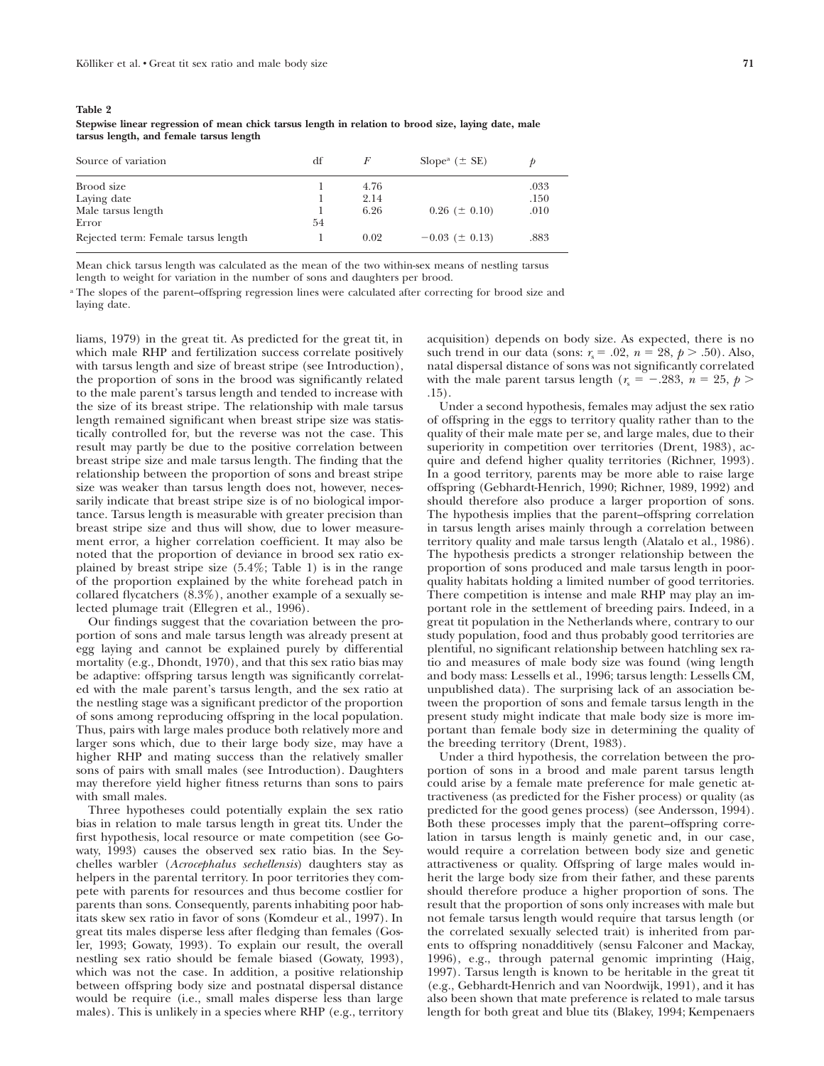**Stepwise linear regression of mean chick tarsus length in relation to brood size, laying date, male tarsus length, and female tarsus length**

| Source of variation                 | df |      | Slope <sup>a</sup> ( $\pm$ SE) |      |
|-------------------------------------|----|------|--------------------------------|------|
| Brood size                          |    | 4.76 |                                | .033 |
| Laying date                         |    | 2.14 |                                | .150 |
| Male tarsus length                  |    | 6.26 | $0.26~(\pm 0.10)$              | .010 |
| Error                               | 54 |      |                                |      |
| Rejected term: Female tarsus length |    | 0.02 | $-0.03$ ( $\pm$ 0.13)          | .883 |

Mean chick tarsus length was calculated as the mean of the two within-sex means of nestling tarsus length to weight for variation in the number of sons and daughters per brood.

<sup>a</sup> The slopes of the parent–offspring regression lines were calculated after correcting for brood size and laying date.

liams, 1979) in the great tit. As predicted for the great tit, in which male RHP and fertilization success correlate positively with tarsus length and size of breast stripe (see Introduction), the proportion of sons in the brood was significantly related to the male parent's tarsus length and tended to increase with the size of its breast stripe. The relationship with male tarsus length remained significant when breast stripe size was statistically controlled for, but the reverse was not the case. This result may partly be due to the positive correlation between breast stripe size and male tarsus length. The finding that the relationship between the proportion of sons and breast stripe size was weaker than tarsus length does not, however, necessarily indicate that breast stripe size is of no biological importance. Tarsus length is measurable with greater precision than breast stripe size and thus will show, due to lower measurement error, a higher correlation coefficient. It may also be noted that the proportion of deviance in brood sex ratio explained by breast stripe size (5.4%; Table 1) is in the range of the proportion explained by the white forehead patch in collared flycatchers (8.3%), another example of a sexually selected plumage trait (Ellegren et al., 1996).

Our findings suggest that the covariation between the proportion of sons and male tarsus length was already present at egg laying and cannot be explained purely by differential mortality (e.g., Dhondt, 1970), and that this sex ratio bias may be adaptive: offspring tarsus length was significantly correlated with the male parent's tarsus length, and the sex ratio at the nestling stage was a significant predictor of the proportion of sons among reproducing offspring in the local population. Thus, pairs with large males produce both relatively more and larger sons which, due to their large body size, may have a higher RHP and mating success than the relatively smaller sons of pairs with small males (see Introduction). Daughters may therefore yield higher fitness returns than sons to pairs with small males.

Three hypotheses could potentially explain the sex ratio bias in relation to male tarsus length in great tits. Under the first hypothesis, local resource or mate competition (see Gowaty, 1993) causes the observed sex ratio bias. In the Seychelles warbler (*Acrocephalus sechellensis*) daughters stay as helpers in the parental territory. In poor territories they compete with parents for resources and thus become costlier for parents than sons. Consequently, parents inhabiting poor habitats skew sex ratio in favor of sons (Komdeur et al., 1997). In great tits males disperse less after fledging than females (Gosler, 1993; Gowaty, 1993). To explain our result, the overall nestling sex ratio should be female biased (Gowaty, 1993), which was not the case. In addition, a positive relationship between offspring body size and postnatal dispersal distance would be require (i.e., small males disperse less than large males). This is unlikely in a species where RHP (e.g., territory

acquisition) depends on body size. As expected, there is no such trend in our data (sons:  $r_s = .02$ ,  $n = 28$ ,  $p > .50$ ). Also, natal dispersal distance of sons was not significantly correlated with the male parent tarsus length ( $r_s = -.283$ ,  $n = 25$ ,  $p >$ .15).

Under a second hypothesis, females may adjust the sex ratio of offspring in the eggs to territory quality rather than to the quality of their male mate per se, and large males, due to their superiority in competition over territories (Drent, 1983), acquire and defend higher quality territories (Richner, 1993). In a good territory, parents may be more able to raise large offspring (Gebhardt-Henrich, 1990; Richner, 1989, 1992) and should therefore also produce a larger proportion of sons. The hypothesis implies that the parent–offspring correlation in tarsus length arises mainly through a correlation between territory quality and male tarsus length (Alatalo et al., 1986). The hypothesis predicts a stronger relationship between the proportion of sons produced and male tarsus length in poorquality habitats holding a limited number of good territories. There competition is intense and male RHP may play an important role in the settlement of breeding pairs. Indeed, in a great tit population in the Netherlands where, contrary to our study population, food and thus probably good territories are plentiful, no significant relationship between hatchling sex ratio and measures of male body size was found (wing length and body mass: Lessells et al., 1996; tarsus length: Lessells CM, unpublished data). The surprising lack of an association between the proportion of sons and female tarsus length in the present study might indicate that male body size is more important than female body size in determining the quality of the breeding territory (Drent, 1983).

Under a third hypothesis, the correlation between the proportion of sons in a brood and male parent tarsus length could arise by a female mate preference for male genetic attractiveness (as predicted for the Fisher process) or quality (as predicted for the good genes process) (see Andersson, 1994). Both these processes imply that the parent–offspring correlation in tarsus length is mainly genetic and, in our case, would require a correlation between body size and genetic attractiveness or quality. Offspring of large males would inherit the large body size from their father, and these parents should therefore produce a higher proportion of sons. The result that the proportion of sons only increases with male but not female tarsus length would require that tarsus length (or the correlated sexually selected trait) is inherited from parents to offspring nonadditively (sensu Falconer and Mackay, 1996), e.g., through paternal genomic imprinting (Haig, 1997). Tarsus length is known to be heritable in the great tit (e.g., Gebhardt-Henrich and van Noordwijk, 1991), and it has also been shown that mate preference is related to male tarsus length for both great and blue tits (Blakey, 1994; Kempenaers